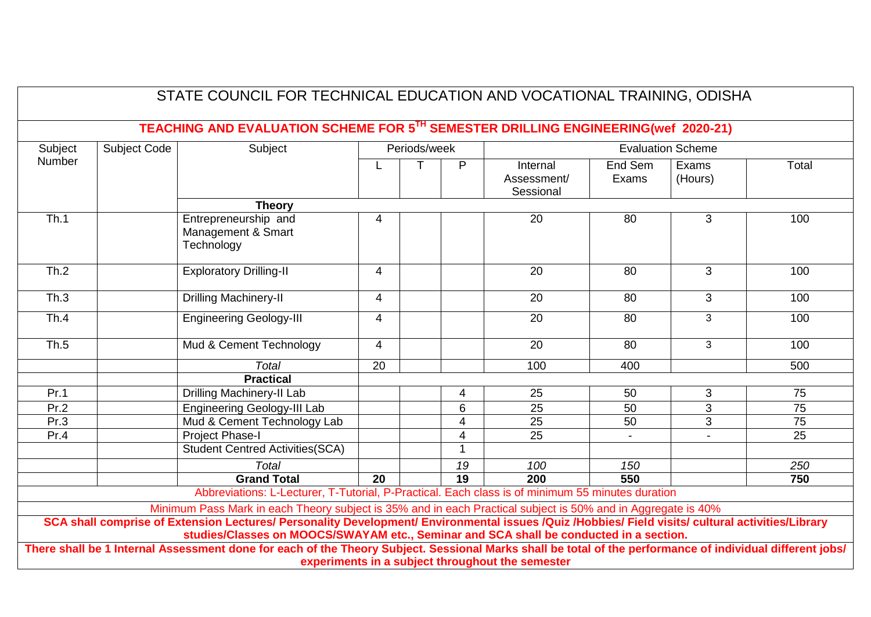|         |              | STATE COUNCIL FOR TECHNICAL EDUCATION AND VOCATIONAL TRAINING, ODISHA                                                                                                                                                                                                                                                                                       |                 |              |                 |                                                  |                  |                          |                 |
|---------|--------------|-------------------------------------------------------------------------------------------------------------------------------------------------------------------------------------------------------------------------------------------------------------------------------------------------------------------------------------------------------------|-----------------|--------------|-----------------|--------------------------------------------------|------------------|--------------------------|-----------------|
| Subject | Subject Code | TEACHING AND EVALUATION SCHEME FOR 5TH SEMESTER DRILLING ENGINEERING(wef 2020-21)<br>Subject                                                                                                                                                                                                                                                                |                 | Periods/week |                 |                                                  |                  | <b>Evaluation Scheme</b> |                 |
| Number  |              |                                                                                                                                                                                                                                                                                                                                                             |                 |              | P               | Internal<br>Assessment/<br>Sessional             | End Sem<br>Exams | Exams<br>(Hours)         | Total           |
|         |              | <b>Theory</b>                                                                                                                                                                                                                                                                                                                                               |                 |              |                 |                                                  |                  |                          |                 |
| Th.1    |              | Entrepreneurship and<br>Management & Smart<br>Technology                                                                                                                                                                                                                                                                                                    | $\overline{4}$  |              |                 | 20                                               | 80               | 3                        | 100             |
| Th.2    |              | <b>Exploratory Drilling-II</b>                                                                                                                                                                                                                                                                                                                              | $\overline{4}$  |              |                 | 20                                               | 80               | 3                        | 100             |
| Th.3    |              | <b>Drilling Machinery-II</b>                                                                                                                                                                                                                                                                                                                                | $\overline{4}$  |              |                 | 20                                               | 80               | 3                        | 100             |
| Th.4    |              | <b>Engineering Geology-III</b>                                                                                                                                                                                                                                                                                                                              | $\overline{4}$  |              |                 | $\overline{20}$                                  | 80               | $\overline{3}$           | 100             |
| Th.5    |              | Mud & Cement Technology                                                                                                                                                                                                                                                                                                                                     | $\overline{4}$  |              |                 | 20                                               | 80               | 3                        | 100             |
|         |              | <b>Total</b>                                                                                                                                                                                                                                                                                                                                                | 20              |              |                 | 100                                              | 400              |                          | 500             |
|         |              | <b>Practical</b>                                                                                                                                                                                                                                                                                                                                            |                 |              |                 |                                                  |                  |                          |                 |
| Pr.1    |              | Drilling Machinery-II Lab                                                                                                                                                                                                                                                                                                                                   |                 |              | 4               | 25                                               | 50               | 3                        | 75              |
| Pr.2    |              | <b>Engineering Geology-III Lab</b>                                                                                                                                                                                                                                                                                                                          |                 |              | $\overline{6}$  | 25                                               | 50               | $\overline{3}$           | $\overline{75}$ |
| Pr.3    |              | Mud & Cement Technology Lab                                                                                                                                                                                                                                                                                                                                 |                 |              | 4               | 25                                               | 50               | $\overline{3}$           | 75              |
| Pr.4    |              | <b>Project Phase-I</b>                                                                                                                                                                                                                                                                                                                                      |                 |              | 4               | 25                                               | $\blacksquare$   |                          | 25              |
|         |              | Student Centred Activities(SCA)                                                                                                                                                                                                                                                                                                                             |                 |              | 1               |                                                  |                  |                          |                 |
|         |              | Total                                                                                                                                                                                                                                                                                                                                                       |                 |              | 19              | 100                                              | 150              |                          | 250             |
|         |              | <b>Grand Total</b>                                                                                                                                                                                                                                                                                                                                          | $\overline{20}$ |              | $\overline{19}$ | $\overline{200}$                                 | 550              |                          | 750             |
|         |              | Abbreviations: L-Lecturer, T-Tutorial, P-Practical. Each class is of minimum 55 minutes duration                                                                                                                                                                                                                                                            |                 |              |                 |                                                  |                  |                          |                 |
|         |              | Minimum Pass Mark in each Theory subject is 35% and in each Practical subject is 50% and in Aggregate is 40%<br>SCA shall comprise of Extension Lectures/ Personality Development/ Environmental issues /Quiz /Hobbies/ Field visits/ cultural activities/Library<br>studies/Classes on MOOCS/SWAYAM etc., Seminar and SCA shall be conducted in a section. |                 |              |                 |                                                  |                  |                          |                 |
|         |              | There shall be 1 Internal Assessment done for each of the Theory Subject. Sessional Marks shall be total of the performance of individual different jobs/                                                                                                                                                                                                   |                 |              |                 | experiments in a subject throughout the semester |                  |                          |                 |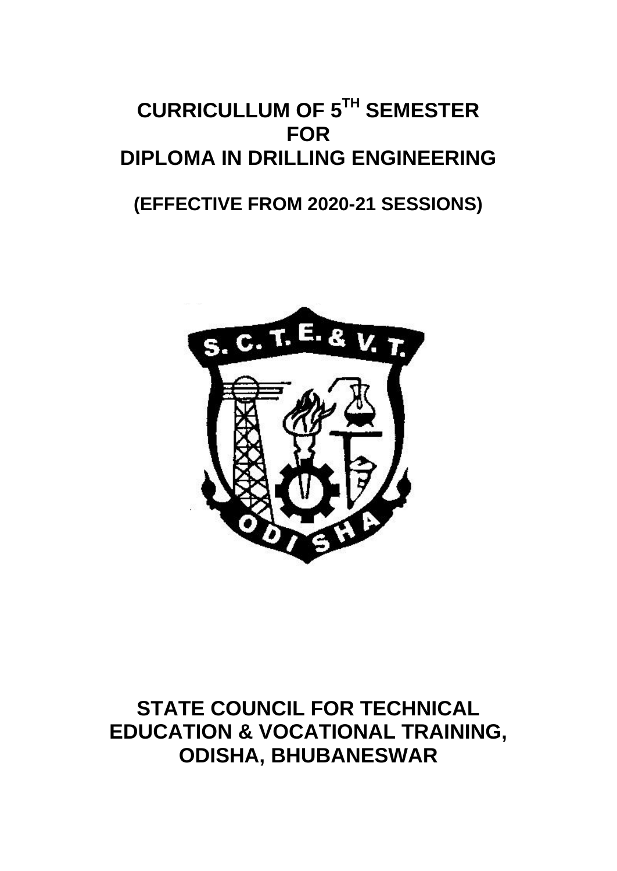# **CURRICULLUM OF 5TH SEMESTER FOR DIPLOMA IN DRILLING ENGINEERING**

# **(EFFECTIVE FROM 2020-21 SESSIONS)**



**STATE COUNCIL FOR TECHNICAL EDUCATION & VOCATIONAL TRAINING, ODISHA, BHUBANESWAR**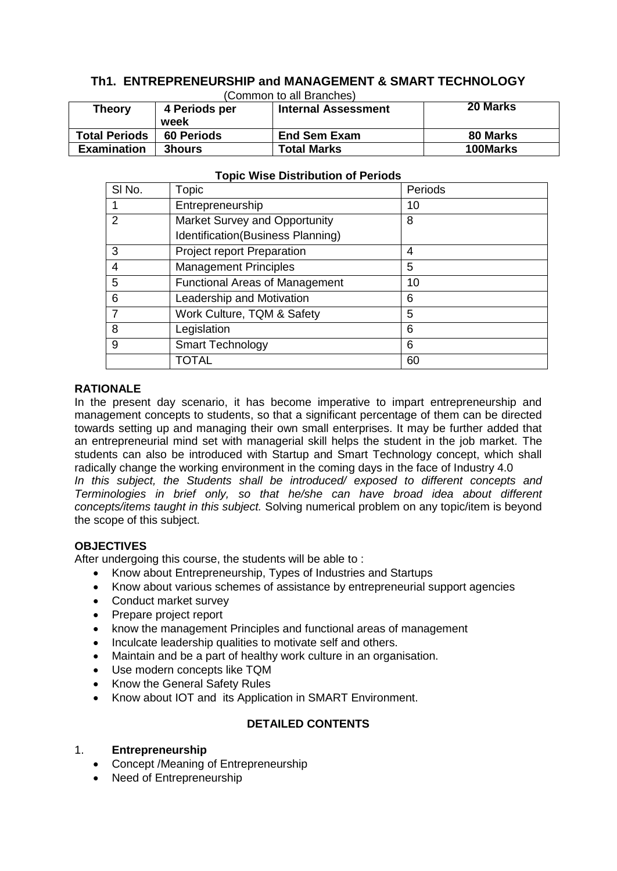#### **Th1. ENTREPRENEURSHIP and MANAGEMENT & SMART TECHNOLOGY**  (Common to all Branches)

| וסטוויוויסט ומרכז מוסט |                   |                            |                 |  |  |
|------------------------|-------------------|----------------------------|-----------------|--|--|
| <b>Theory</b>          | 4 Periods per     | <b>Internal Assessment</b> | 20 Marks        |  |  |
|                        | week              |                            |                 |  |  |
| <b>Total Periods</b>   | <b>60 Periods</b> | <b>End Sem Exam</b>        | 80 Marks        |  |  |
| <b>Examination</b>     | <b>3hours</b>     | <b>Total Marks</b>         | <b>100Marks</b> |  |  |

| SI No.        | Topic                                 | Periods |
|---------------|---------------------------------------|---------|
|               | Entrepreneurship                      | 10      |
| $\mathcal{P}$ | Market Survey and Opportunity         | 8       |
|               | Identification(Business Planning)     |         |
| 3             | <b>Project report Preparation</b>     | 4       |
| 4             | <b>Management Principles</b>          | 5       |
| 5             | <b>Functional Areas of Management</b> | 10      |
| 6             | Leadership and Motivation             | 6       |
|               | Work Culture, TQM & Safety            | 5       |
| 8             | Legislation                           | 6       |
| 9             | Smart Technology                      | 6       |
|               | TOTAL                                 | 60      |

#### **Topic Wise Distribution of Periods**

#### **RATIONALE**

In the present day scenario, it has become imperative to impart entrepreneurship and management concepts to students, so that a significant percentage of them can be directed towards setting up and managing their own small enterprises. It may be further added that an entrepreneurial mind set with managerial skill helps the student in the job market. The students can also be introduced with Startup and Smart Technology concept, which shall radically change the working environment in the coming days in the face of Industry 4.0 *In this subject, the Students shall be introduced/ exposed to different concepts and Terminologies in brief only, so that he/she can have broad idea about different concepts/items taught in this subject.* Solving numerical problem on any topic/item is beyond the scope of this subject.

#### **OBJECTIVES**

After undergoing this course, the students will be able to :

- Know about Entrepreneurship, Types of Industries and Startups
- Know about various schemes of assistance by entrepreneurial support agencies
- Conduct market survey
- Prepare project report
- know the management Principles and functional areas of management
- Inculcate leadership qualities to motivate self and others.
- Maintain and be a part of healthy work culture in an organisation.
- Use modern concepts like TQM
- Know the General Safety Rules
- Know about IOT and its Application in SMART Environment.

#### **DETAILED CONTENTS**

#### 1. **Entrepreneurship**

- Concept /Meaning of Entrepreneurship
- Need of Entrepreneurship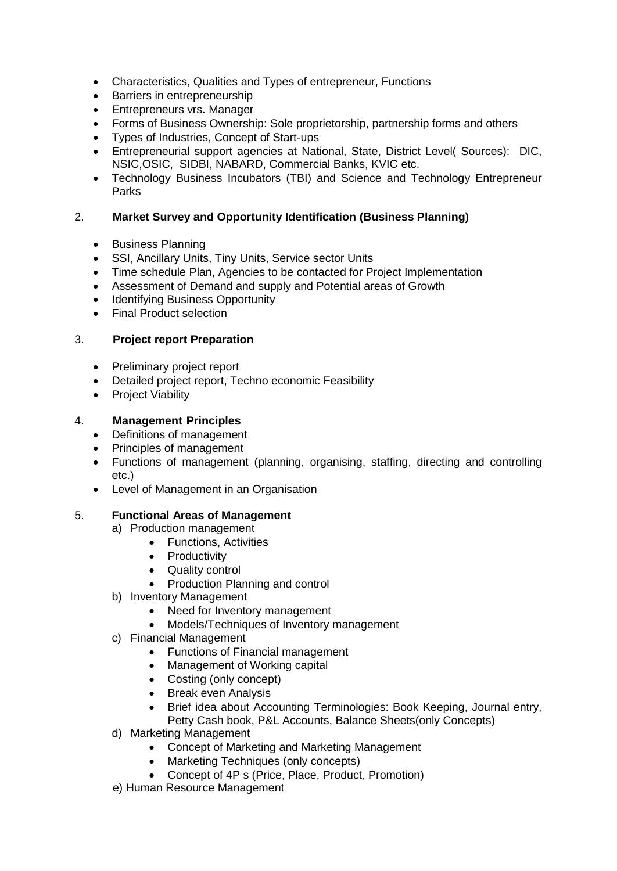- Characteristics, Qualities and Types of entrepreneur, Functions
- Barriers in entrepreneurship
- Entrepreneurs vrs. Manager
- Forms of Business Ownership: Sole proprietorship, partnership forms and others
- Types of Industries, Concept of Start-ups
- Entrepreneurial support agencies at National, State, District Level( Sources): DIC, NSIC,OSIC, SIDBI, NABARD, Commercial Banks, KVIC etc.
- Technology Business Incubators (TBI) and Science and Technology Entrepreneur Parks

#### 2. **Market Survey and Opportunity Identification (Business Planning)**

- Business Planning
- SSI, Ancillary Units, Tiny Units, Service sector Units
- Time schedule Plan, Agencies to be contacted for Project Implementation
- Assessment of Demand and supply and Potential areas of Growth
- Identifying Business Opportunity
- Final Product selection

#### 3. **Project report Preparation**

- Preliminary project report
- Detailed project report, Techno economic Feasibility
- Project Viability

#### 4. **Management Principles**

- Definitions of management
- Principles of management
- Functions of management (planning, organising, staffing, directing and controlling etc.)
- Level of Management in an Organisation

#### 5. **Functional Areas of Management**

- a) Production management
	- Functions, Activities
	- Productivity
	- Quality control
	- Production Planning and control
- b) Inventory Management
	- Need for Inventory management
	- Models/Techniques of Inventory management
- c) Financial Management
	- Functions of Financial management
	- Management of Working capital
	- Costing (only concept)
	- Break even Analysis
	- Brief idea about Accounting Terminologies: Book Keeping, Journal entry, Petty Cash book, P&L Accounts, Balance Sheets(only Concepts)
- d) Marketing Management
	- Concept of Marketing and Marketing Management
	- Marketing Techniques (only concepts)
	- Concept of 4P s (Price, Place, Product, Promotion)
- e) Human Resource Management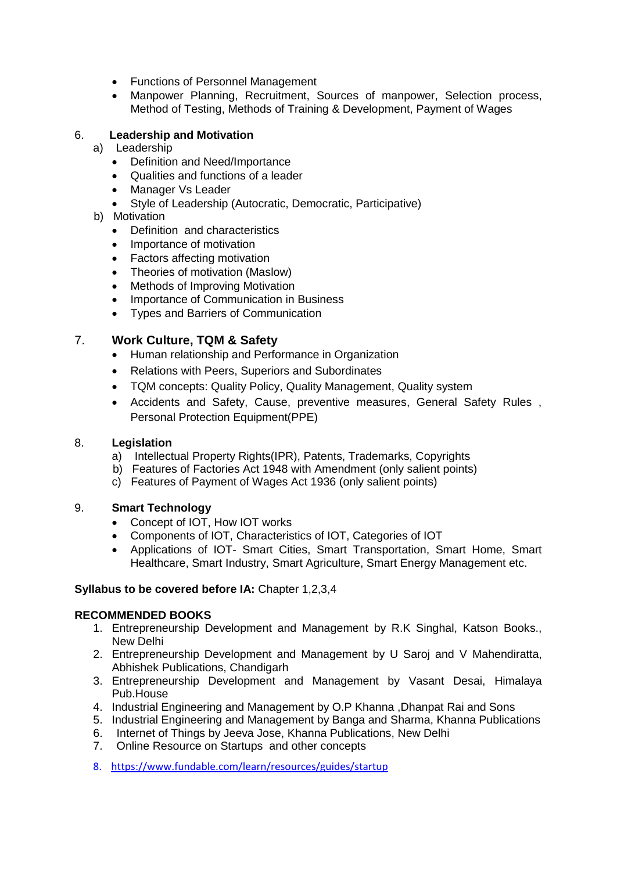- Functions of Personnel Management
- Manpower Planning, Recruitment, Sources of manpower, Selection process, Method of Testing, Methods of Training & Development, Payment of Wages

#### 6. **Leadership and Motivation**

- a) Leadership
	- Definition and Need/Importance
	- Qualities and functions of a leader
	- Manager Vs Leader
	- Style of Leadership (Autocratic, Democratic, Participative)

#### b) Motivation

- Definition and characteristics
- Importance of motivation
- Factors affecting motivation
- Theories of motivation (Maslow)
- Methods of Improving Motivation
- Importance of Communication in Business
- Types and Barriers of Communication

# 7. **Work Culture, TQM & Safety**

- Human relationship and Performance in Organization
- Relations with Peers, Superiors and Subordinates
- TQM concepts: Quality Policy, Quality Management, Quality system
- Accidents and Safety, Cause, preventive measures, General Safety Rules , Personal Protection Equipment(PPE)

#### 8. **Legislation**

- a) Intellectual Property Rights(IPR), Patents, Trademarks, Copyrights
- b) Features of Factories Act 1948 with Amendment (only salient points)
- c) Features of Payment of Wages Act 1936 (only salient points)

#### 9. **Smart Technology**

- Concept of IOT, How IOT works
- Components of IOT, Characteristics of IOT, Categories of IOT
- Applications of IOT- Smart Cities, Smart Transportation, Smart Home, Smart Healthcare, Smart Industry, Smart Agriculture, Smart Energy Management etc.

#### **Syllabus to be covered before IA:** Chapter 1,2,3,4

# **RECOMMENDED BOOKS**

- 1. Entrepreneurship Development and Management by R.K Singhal, Katson Books., New Delhi
- 2. Entrepreneurship Development and Management by U Saroj and V Mahendiratta, Abhishek Publications, Chandigarh
- 3. Entrepreneurship Development and Management by Vasant Desai, Himalaya Pub.House
- 4. Industrial Engineering and Management by O.P Khanna ,Dhanpat Rai and Sons
- 5. Industrial Engineering and Management by Banga and Sharma, Khanna Publications
- 6. Internet of Things by Jeeva Jose, Khanna Publications, New Delhi
- 7. Online Resource on Startups and other concepts
- 8. <https://www.fundable.com/learn/resources/guides/startup>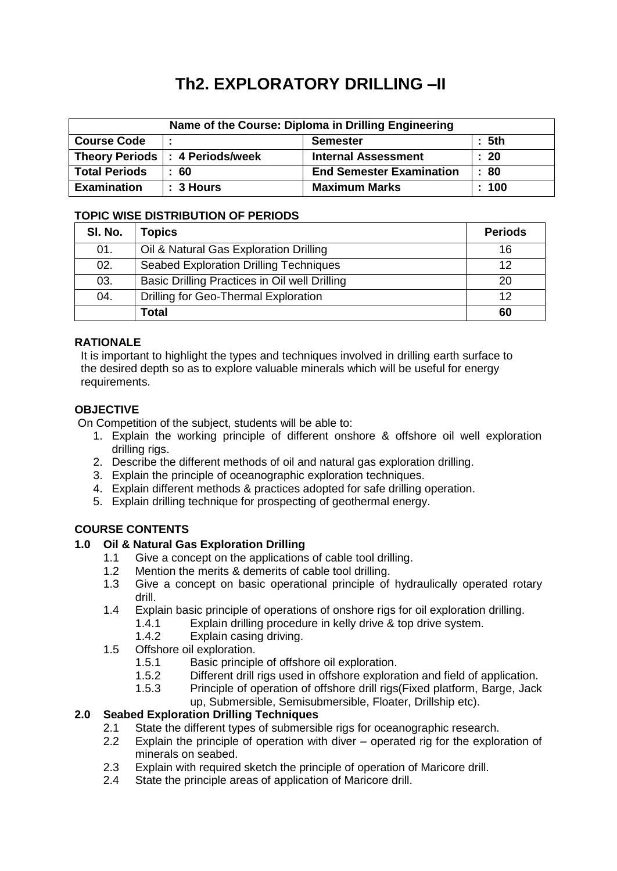# **Th2. EXPLORATORY DRILLING –II**

| Name of the Course: Diploma in Drilling Engineering |                                   |                                 |                  |  |
|-----------------------------------------------------|-----------------------------------|---------------------------------|------------------|--|
| <b>Course Code</b>                                  |                                   | <b>Semester</b>                 | $\therefore$ 5th |  |
|                                                     | Theory Periods   : 4 Periods/week | <b>Internal Assessment</b>      | $\therefore$ 20  |  |
| <b>Total Periods</b>                                | $\pm 60$                          | <b>End Semester Examination</b> | : 80             |  |
| <b>Examination</b>                                  | $: 3$ Hours                       | <b>Maximum Marks</b>            | $\pm 100$        |  |

#### **TOPIC WISE DISTRIBUTION OF PERIODS**

| SI. No. | Topics                                        | <b>Periods</b> |
|---------|-----------------------------------------------|----------------|
| 01.     | Oil & Natural Gas Exploration Drilling        | 16             |
| 02.     | <b>Seabed Exploration Drilling Techniques</b> | 12             |
| 03.     | Basic Drilling Practices in Oil well Drilling | 20             |
| 04.     | Drilling for Geo-Thermal Exploration          | 12             |
|         | <b>Total</b>                                  | 60             |

#### **RATIONALE**

It is important to highlight the types and techniques involved in drilling earth surface to the desired depth so as to explore valuable minerals which will be useful for energy requirements.

# **OBJECTIVE**

On Competition of the subject, students will be able to:

- 1. Explain the working principle of different onshore & offshore oil well exploration drilling rigs.
- 2. Describe the different methods of oil and natural gas exploration drilling.
- 3. Explain the principle of oceanographic exploration techniques.
- 4. Explain different methods & practices adopted for safe drilling operation.
- 5. Explain drilling technique for prospecting of geothermal energy.

# **COURSE CONTENTS**

#### **1.0 Oil & Natural Gas Exploration Drilling**

- 1.1 Give a concept on the applications of cable tool drilling.
- 1.2 Mention the merits & demerits of cable tool drilling.
- 1.3 Give a concept on basic operational principle of hydraulically operated rotary drill.
- 1.4 Explain basic principle of operations of onshore rigs for oil exploration drilling.
	- 1.4.1 Explain drilling procedure in kelly drive & top drive system.
	- 1.4.2 Explain casing driving.
- 1.5 Offshore oil exploration.
	- 1.5.1 Basic principle of offshore oil exploration.<br>1.5.2 Different drill rigs used in offshore explora
	- Different drill rigs used in offshore exploration and field of application.
	- 1.5.3 Principle of operation of offshore drill rigs(Fixed platform, Barge, Jack up, Submersible, Semisubmersible, Floater, Drillship etc).

# **2.0 Seabed Exploration Drilling Techniques**

- 2.1 State the different types of submersible rigs for oceanographic research.
- 2.2 Explain the principle of operation with diver operated rig for the exploration of minerals on seabed.
- 2.3 Explain with required sketch the principle of operation of Maricore drill.
- 2.4 State the principle areas of application of Maricore drill.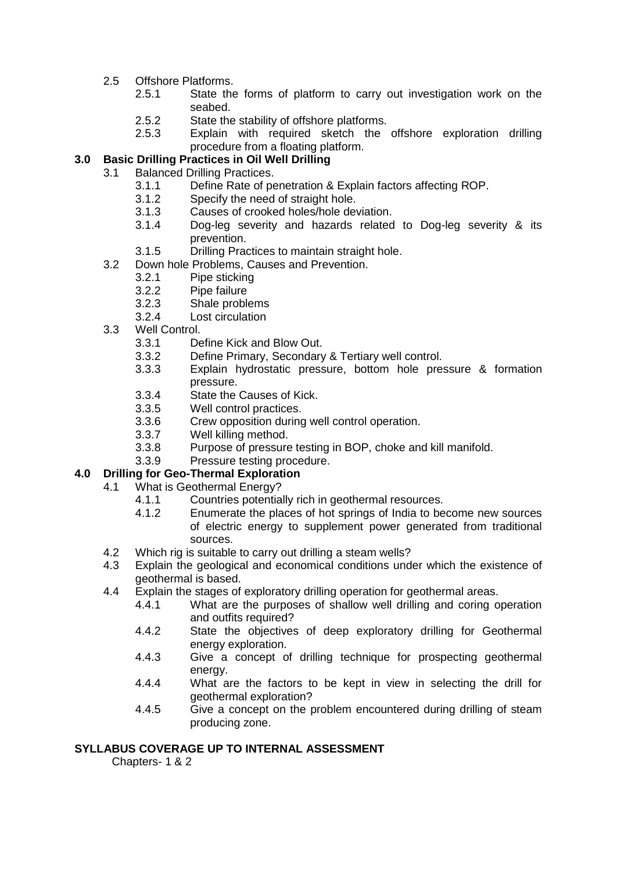- 2.5 Offshore Platforms.
	- 2.5.1 State the forms of platform to carry out investigation work on the seabed.
	- 2.5.2 State the stability of offshore platforms.
	- 2.5.3 Explain with required sketch the offshore exploration drilling procedure from a floating platform.

# **3.0 Basic Drilling Practices in Oil Well Drilling**

- 3.1 Balanced Drilling Practices.
	- 3.1.1 Define Rate of penetration & Explain factors affecting ROP.
	- 3.1.2 Specify the need of straight hole.
	- 3.1.3 Causes of crooked holes/hole deviation.
	- 3.1.4 Dog-leg severity and hazards related to Dog-leg severity & its prevention.
	- 3.1.5 Drilling Practices to maintain straight hole.
- 3.2 Down hole Problems, Causes and Prevention.<br>3.2.1 Pipe sticking
	- Pipe sticking
	- 3.2.2 Pipe failure
	- 3.2.3 Shale problems
	- 3.2.4 Lost circulation
- 3.3 Well Control.
	- 3.3.1 Define Kick and Blow Out.
	- 3.3.2 Define Primary, Secondary & Tertiary well control.
	- 3.3.3 Explain hydrostatic pressure, bottom hole pressure & formation pressure.
	- 3.3.4 State the Causes of Kick.
	- 3.3.5 Well control practices.
	- 3.3.6 Crew opposition during well control operation.
	- 3.3.7 Well killing method.
	- 3.3.8 Purpose of pressure testing in BOP, choke and kill manifold.
	- 3.3.9 Pressure testing procedure.

#### **4.0 Drilling for Geo-Thermal Exploration**

- 4.1 What is Geothermal Energy?
	- 4.1.1 Countries potentially rich in geothermal resources.
	- 4.1.2 Enumerate the places of hot springs of India to become new sources of electric energy to supplement power generated from traditional sources.
- 4.2 Which rig is suitable to carry out drilling a steam wells?
- 4.3 Explain the geological and economical conditions under which the existence of geothermal is based.
- 4.4 Explain the stages of exploratory drilling operation for geothermal areas.
	- 4.4.1 What are the purposes of shallow well drilling and coring operation and outfits required?
	- 4.4.2 State the objectives of deep exploratory drilling for Geothermal energy exploration.
	- 4.4.3 Give a concept of drilling technique for prospecting geothermal energy.
	- 4.4.4 What are the factors to be kept in view in selecting the drill for geothermal exploration?
	- 4.4.5 Give a concept on the problem encountered during drilling of steam producing zone.

#### **SYLLABUS COVERAGE UP TO INTERNAL ASSESSMENT**

Chapters- 1 & 2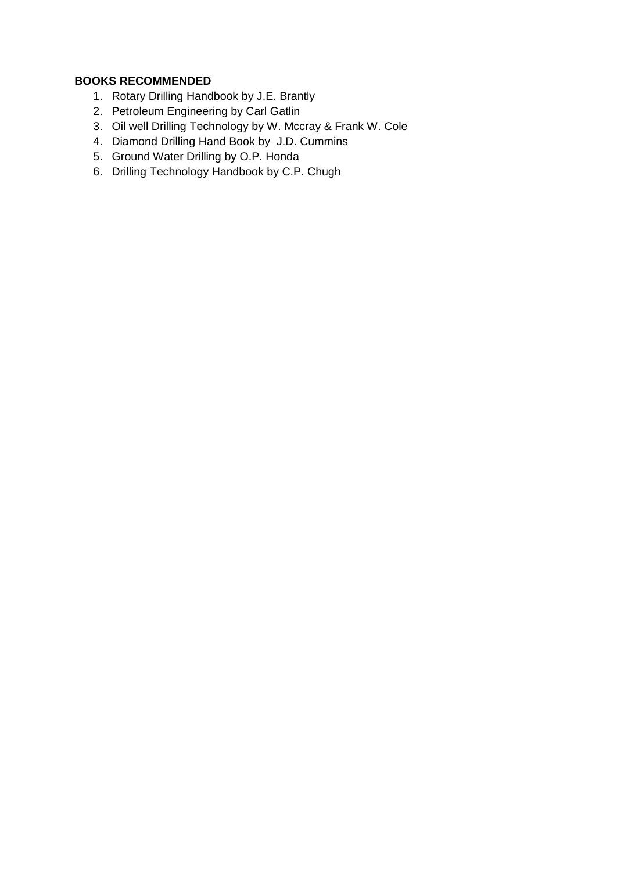# **BOOKS RECOMMENDED**

- 1. Rotary Drilling Handbook by J.E. Brantly
- 2. Petroleum Engineering by Carl Gatlin
- 3. Oil well Drilling Technology by W. Mccray & Frank W. Cole
- 4. Diamond Drilling Hand Book by J.D. Cummins
- 5. Ground Water Drilling by O.P. Honda
- 6. Drilling Technology Handbook by C.P. Chugh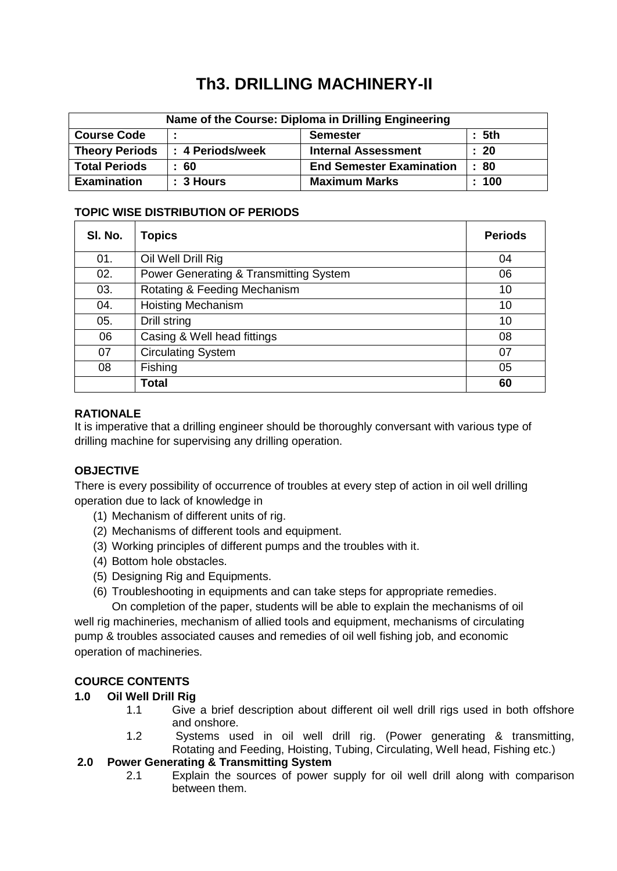# **Th3. DRILLING MACHINERY-II**

| Name of the Course: Diploma in Drilling Engineering |                          |                                 |                 |  |
|-----------------------------------------------------|--------------------------|---------------------------------|-----------------|--|
| <b>Course Code</b>                                  |                          | <b>Semester</b>                 | : 5th           |  |
| <b>Theory Periods</b>                               | <b>I: 4 Periods/week</b> | <b>Internal Assessment</b>      | $\therefore$ 20 |  |
| <b>Total Periods</b>                                | -60                      | <b>End Semester Examination</b> | : 80            |  |
| <b>Examination</b>                                  | :3 Hours                 | <b>Maximum Marks</b>            | : 100           |  |

# **TOPIC WISE DISTRIBUTION OF PERIODS**

| SI. No. | <b>Topics</b>                          | <b>Periods</b> |
|---------|----------------------------------------|----------------|
| 01.     | Oil Well Drill Rig                     | 04             |
| 02.     | Power Generating & Transmitting System | 06             |
| 03.     | Rotating & Feeding Mechanism           | 10             |
| 04.     | <b>Hoisting Mechanism</b>              | 10             |
| 05.     | Drill string                           | 10             |
| 06      | Casing & Well head fittings            | 08             |
| 07      | <b>Circulating System</b>              | 07             |
| 08      | Fishing                                | 05             |
|         | <b>Total</b>                           | 60             |

# **RATIONALE**

It is imperative that a drilling engineer should be thoroughly conversant with various type of drilling machine for supervising any drilling operation.

# **OBJECTIVE**

There is every possibility of occurrence of troubles at every step of action in oil well drilling operation due to lack of knowledge in

- (1) Mechanism of different units of rig.
- (2) Mechanisms of different tools and equipment.
- (3) Working principles of different pumps and the troubles with it.
- (4) Bottom hole obstacles.
- (5) Designing Rig and Equipments.
- (6) Troubleshooting in equipments and can take steps for appropriate remedies.

On completion of the paper, students will be able to explain the mechanisms of oil well rig machineries, mechanism of allied tools and equipment, mechanisms of circulating pump & troubles associated causes and remedies of oil well fishing job, and economic operation of machineries.

# **COURCE CONTENTS**

# **1.0 Oil Well Drill Rig**

- 1.1 Give a brief description about different oil well drill rigs used in both offshore and onshore.
- 1.2 Systems used in oil well drill rig. (Power generating & transmitting, Rotating and Feeding, Hoisting, Tubing, Circulating, Well head, Fishing etc.)

#### **2.0 Power Generating & Transmitting System**

2.1 Explain the sources of power supply for oil well drill along with comparison between them.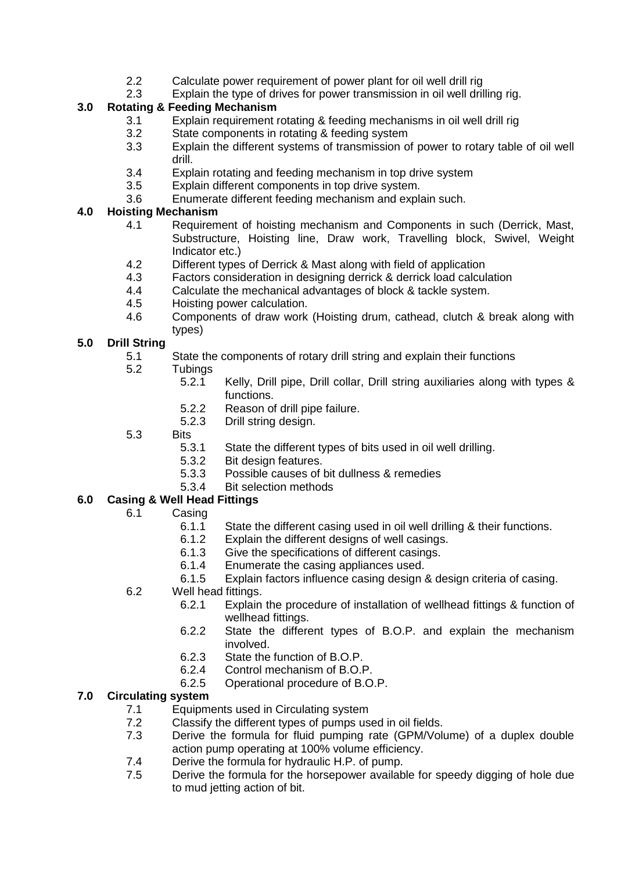- 2.2 Calculate power requirement of power plant for oil well drill rig
- 2.3 Explain the type of drives for power transmission in oil well drilling rig.

# **3.0 Rotating & Feeding Mechanism**

- 3.1 Explain requirement rotating & feeding mechanisms in oil well drill rig
- 3.2 State components in rotating & feeding system
- 3.3 Explain the different systems of transmission of power to rotary table of oil well drill.
- 3.4 Explain rotating and feeding mechanism in top drive system
- 3.5 Explain different components in top drive system.
- 3.6 Enumerate different feeding mechanism and explain such.

#### **4.0 Hoisting Mechanism**

- 4.1 Requirement of hoisting mechanism and Components in such (Derrick, Mast, Substructure, Hoisting line, Draw work, Travelling block, Swivel, Weight Indicator etc.)
- 4.2 Different types of Derrick & Mast along with field of application<br>4.3 Factors consideration in designing derrick & derrick load calcul
- Factors consideration in designing derrick & derrick load calculation
- 4.4 Calculate the mechanical advantages of block & tackle system.
- 4.5 Hoisting power calculation.
- 4.6 Components of draw work (Hoisting drum, cathead, clutch & break along with types)

# **5.0 Drill String**

- 5.1 State the components of rotary drill string and explain their functions
- 5.2 Tubings
	- 5.2.1 Kelly, Drill pipe, Drill collar, Drill string auxiliaries along with types & functions.
	- 5.2.2 Reason of drill pipe failure.
	- 5.2.3 Drill string design.
- 5.3 Bits
	- 5.3.1 State the different types of bits used in oil well drilling.
	- 5.3.2 Bit design features.
	- 5.3.3 Possible causes of bit dullness & remedies
	- 5.3.4 Bit selection methods

# **6.0 Casing & Well Head Fittings**

- 6.1 Casing
	- 6.1.1 State the different casing used in oil well drilling & their functions.
	- 6.1.2 Explain the different designs of well casings.
	- 6.1.3 Give the specifications of different casings.
	- 6.1.4 Enumerate the casing appliances used.
	- 6.1.5 Explain factors influence casing design & design criteria of casing.
- 6.2 Well head fittings.
	- 6.2.1 Explain the procedure of installation of wellhead fittings & function of wellhead fittings.
	- 6.2.2 State the different types of B.O.P. and explain the mechanism involved.
	- 6.2.3 State the function of B.O.P.
	- 6.2.4 Control mechanism of B.O.P.
	- 6.2.5 Operational procedure of B.O.P.

# **7.0 Circulating system**

- 7.1 Equipments used in Circulating system
- 7.2 Classify the different types of pumps used in oil fields.
- 7.3 Derive the formula for fluid pumping rate (GPM/Volume) of a duplex double action pump operating at 100% volume efficiency.
- 7.4 Derive the formula for hydraulic H.P. of pump.<br>7.5 Derive the formula for the horsepower availab
- Derive the formula for the horsepower available for speedy digging of hole due to mud jetting action of bit.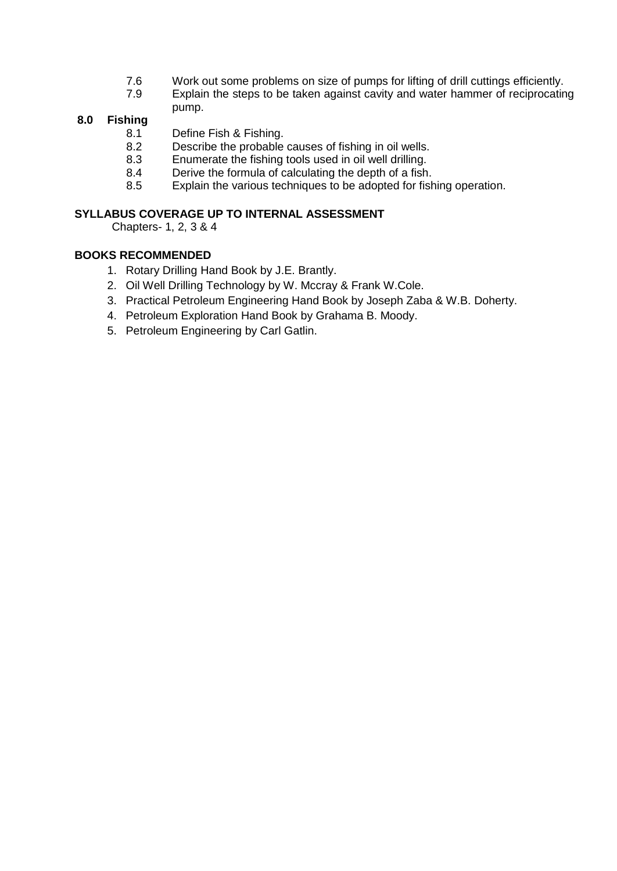- 7.6 Work out some problems on size of pumps for lifting of drill cuttings efficiently.
- 7.9 Explain the steps to be taken against cavity and water hammer of reciprocating pump.

# **8.0 Fishing**

- Define Fish & Fishing.
- 8.2 Describe the probable causes of fishing in oil wells.
- 8.3 Enumerate the fishing tools used in oil well drilling.
- 8.4 Derive the formula of calculating the depth of a fish.
- 8.5 Explain the various techniques to be adopted for fishing operation.

#### **SYLLABUS COVERAGE UP TO INTERNAL ASSESSMENT**

Chapters- 1, 2, 3 & 4

#### **BOOKS RECOMMENDED**

- 1. Rotary Drilling Hand Book by J.E. Brantly.
- 2. Oil Well Drilling Technology by W. Mccray & Frank W.Cole.
- 3. Practical Petroleum Engineering Hand Book by Joseph Zaba & W.B. Doherty.
- 4. Petroleum Exploration Hand Book by Grahama B. Moody.
- 5. Petroleum Engineering by Carl Gatlin.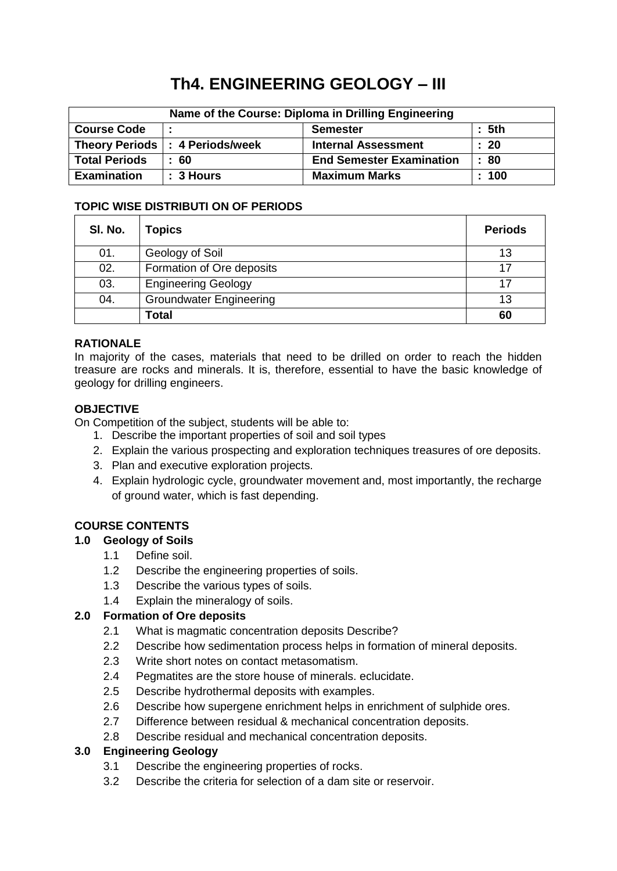# **Th4. ENGINEERING GEOLOGY – III**

| Name of the Course: Diploma in Drilling Engineering |                                  |                                 |       |  |
|-----------------------------------------------------|----------------------------------|---------------------------------|-------|--|
| <b>Course Code</b>                                  |                                  | <b>Semester</b>                 | : 5th |  |
|                                                     | Theory Periods  : 4 Periods/week | <b>Internal Assessment</b>      | : 20  |  |
| <b>Total Periods</b>                                | 60                               | <b>End Semester Examination</b> | : 80  |  |
| <b>Examination</b>                                  | $: 3$ Hours                      | <b>Maximum Marks</b>            | : 100 |  |

#### **TOPIC WISE DISTRIBUTI ON OF PERIODS**

| SI. No. | <b>Topics</b>                  | <b>Periods</b> |
|---------|--------------------------------|----------------|
| 01.     | Geology of Soil                | 13             |
| 02.     | Formation of Ore deposits      | 17             |
| 03.     | <b>Engineering Geology</b>     | 17             |
| 04.     | <b>Groundwater Engineering</b> | 13             |
|         | <b>Total</b>                   | 60             |

#### **RATIONALE**

In majority of the cases, materials that need to be drilled on order to reach the hidden treasure are rocks and minerals. It is, therefore, essential to have the basic knowledge of geology for drilling engineers.

#### **OBJECTIVE**

On Competition of the subject, students will be able to:

- 1. Describe the important properties of soil and soil types
- 2. Explain the various prospecting and exploration techniques treasures of ore deposits.
- 3. Plan and executive exploration projects.
- 4. Explain hydrologic cycle, groundwater movement and, most importantly, the recharge of ground water, which is fast depending.

# **COURSE CONTENTS**

#### **1.0 Geology of Soils**

- 1.1 Define soil.
- 1.2 Describe the engineering properties of soils.
- 1.3 Describe the various types of soils.
- 1.4 Explain the mineralogy of soils.

#### **2.0 Formation of Ore deposits**

- 2.1 What is magmatic concentration deposits Describe?
- 2.2 Describe how sedimentation process helps in formation of mineral deposits.
- 2.3 Write short notes on contact metasomatism.
- 2.4 Pegmatites are the store house of minerals. eclucidate.
- 2.5 Describe hydrothermal deposits with examples.
- 2.6 Describe how supergene enrichment helps in enrichment of sulphide ores.
- 2.7 Difference between residual & mechanical concentration deposits.
- 2.8 Describe residual and mechanical concentration deposits.

#### **3.0 Engineering Geology**

- 3.1 Describe the engineering properties of rocks.
- 3.2 Describe the criteria for selection of a dam site or reservoir.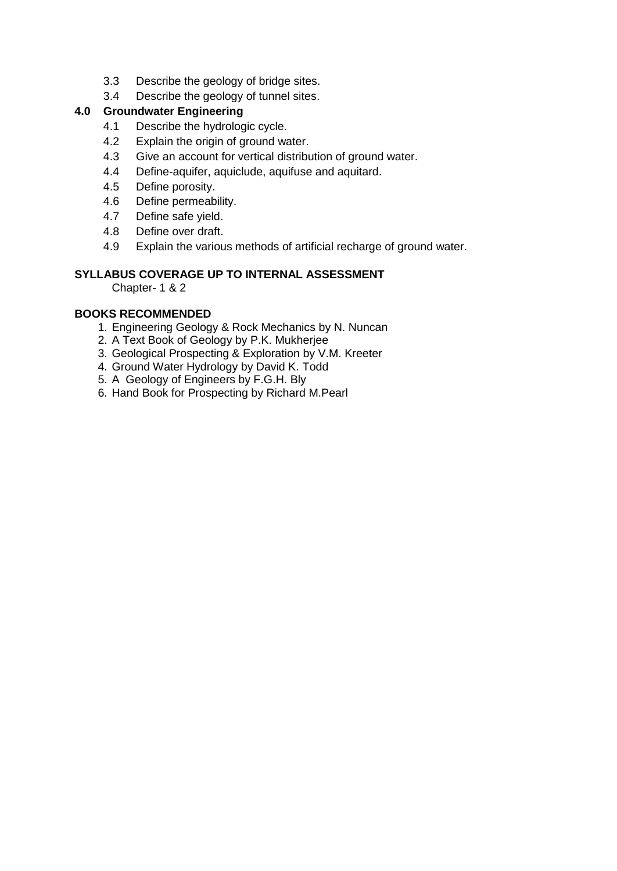- 3.3 Describe the geology of bridge sites.
- 3.4 Describe the geology of tunnel sites.

# **4.0 Groundwater Engineering**

- 4.1 Describe the hydrologic cycle.
- 4.2 Explain the origin of ground water.
- 4.3 Give an account for vertical distribution of ground water.
- 4.4 Define-aquifer, aquiclude, aquifuse and aquitard.
- 4.5 Define porosity.
- 4.6 Define permeability.
- 4.7 Define safe yield.
- 4.8 Define over draft.
- 4.9 Explain the various methods of artificial recharge of ground water.

#### **SYLLABUS COVERAGE UP TO INTERNAL ASSESSMENT**

Chapter- 1 & 2

#### **BOOKS RECOMMENDED**

- 1. Engineering Geology & Rock Mechanics by N. Nuncan
- 2. A Text Book of Geology by P.K. Mukherjee
- 3. Geological Prospecting & Exploration by V.M. Kreeter
- 4. Ground Water Hydrology by David K. Todd
- 5. A Geology of Engineers by F.G.H. Bly
- 6. Hand Book for Prospecting by Richard M.Pearl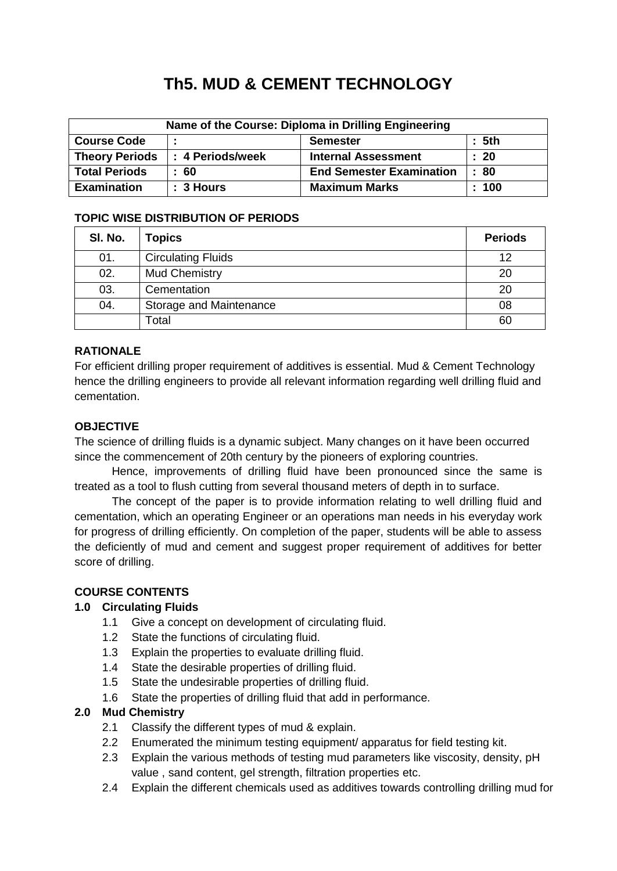# **Th5. MUD & CEMENT TECHNOLOGY**

| Name of the Course: Diploma in Drilling Engineering |                  |                                 |                 |  |
|-----------------------------------------------------|------------------|---------------------------------|-----------------|--|
| <b>Course Code</b>                                  |                  | <b>Semester</b>                 | $\pm$ 5th       |  |
| <b>Theory Periods</b>                               | : 4 Periods/week | <b>Internal Assessment</b>      | $\therefore$ 20 |  |
| <b>Total Periods</b>                                | -60              | <b>End Semester Examination</b> | : 80            |  |
| <b>Examination</b>                                  | $: 3$ Hours      | <b>Maximum Marks</b>            | : 100           |  |

# **TOPIC WISE DISTRIBUTION OF PERIODS**

| SI. No. | <b>Topics</b>             | <b>Periods</b> |
|---------|---------------------------|----------------|
| 01.     | <b>Circulating Fluids</b> | 12             |
| 02.     | <b>Mud Chemistry</b>      | 20             |
| 03.     | Cementation               | 20             |
| 04.     | Storage and Maintenance   | 08             |
|         | Total                     | 60             |

# **RATIONALE**

For efficient drilling proper requirement of additives is essential. Mud & Cement Technology hence the drilling engineers to provide all relevant information regarding well drilling fluid and cementation.

#### **OBJECTIVE**

The science of drilling fluids is a dynamic subject. Many changes on it have been occurred since the commencement of 20th century by the pioneers of exploring countries.

Hence, improvements of drilling fluid have been pronounced since the same is treated as a tool to flush cutting from several thousand meters of depth in to surface.

The concept of the paper is to provide information relating to well drilling fluid and cementation, which an operating Engineer or an operations man needs in his everyday work for progress of drilling efficiently. On completion of the paper, students will be able to assess the deficiently of mud and cement and suggest proper requirement of additives for better score of drilling.

#### **COURSE CONTENTS**

#### **1.0 Circulating Fluids**

- 1.1 Give a concept on development of circulating fluid.
- 1.2 State the functions of circulating fluid.
- 1.3 Explain the properties to evaluate drilling fluid.
- 1.4 State the desirable properties of drilling fluid.
- 1.5 State the undesirable properties of drilling fluid.
- 1.6 State the properties of drilling fluid that add in performance.

#### **2.0 Mud Chemistry**

- 2.1 Classify the different types of mud & explain.
- 2.2 Enumerated the minimum testing equipment/ apparatus for field testing kit.
- 2.3 Explain the various methods of testing mud parameters like viscosity, density, pH value , sand content, gel strength, filtration properties etc.
- 2.4 Explain the different chemicals used as additives towards controlling drilling mud for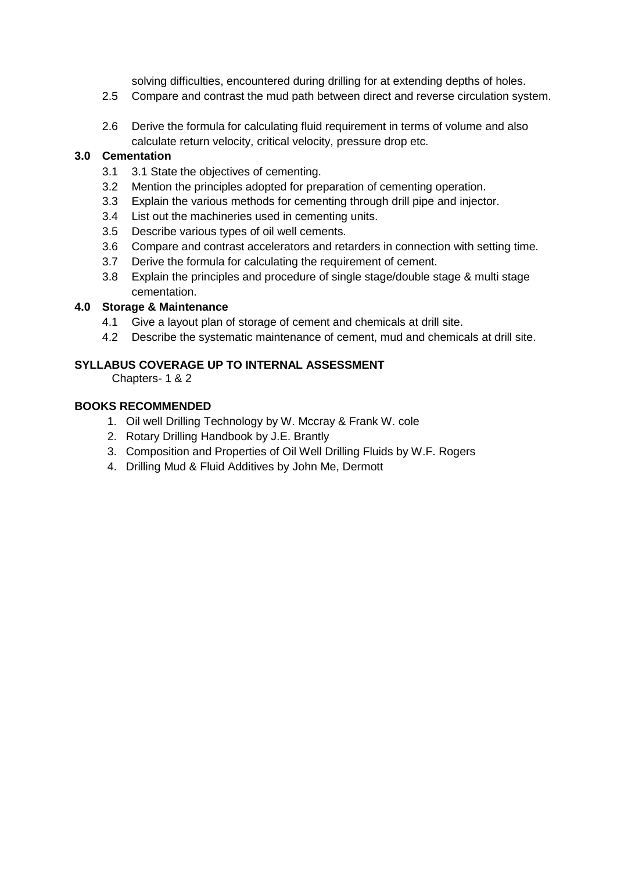solving difficulties, encountered during drilling for at extending depths of holes.

- 2.5 Compare and contrast the mud path between direct and reverse circulation system.
- 2.6 Derive the formula for calculating fluid requirement in terms of volume and also calculate return velocity, critical velocity, pressure drop etc.

### **3.0 Cementation**

- 3.1 3.1 State the objectives of cementing.
- 3.2 Mention the principles adopted for preparation of cementing operation.
- 3.3 Explain the various methods for cementing through drill pipe and injector.
- 3.4 List out the machineries used in cementing units.
- 3.5 Describe various types of oil well cements.
- 3.6 Compare and contrast accelerators and retarders in connection with setting time.
- 3.7 Derive the formula for calculating the requirement of cement.
- 3.8 Explain the principles and procedure of single stage/double stage & multi stage cementation.

#### **4.0 Storage & Maintenance**

- 4.1 Give a layout plan of storage of cement and chemicals at drill site.
- 4.2 Describe the systematic maintenance of cement, mud and chemicals at drill site.

#### **SYLLABUS COVERAGE UP TO INTERNAL ASSESSMENT**

Chapters- 1 & 2

#### **BOOKS RECOMMENDED**

- 1. Oil well Drilling Technology by W. Mccray & Frank W. cole
- 2. Rotary Drilling Handbook by J.E. Brantly
- 3. Composition and Properties of Oil Well Drilling Fluids by W.F. Rogers
- 4. Drilling Mud & Fluid Additives by John Me, Dermott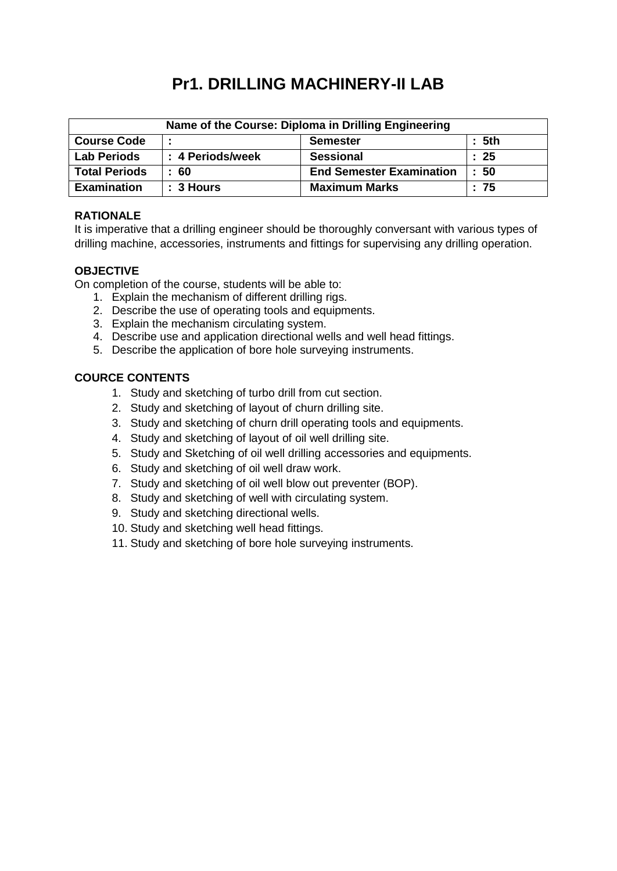# **Pr1. DRILLING MACHINERY-II LAB**

| Name of the Course: Diploma in Drilling Engineering |                  |                                 |                   |  |
|-----------------------------------------------------|------------------|---------------------------------|-------------------|--|
| <b>Course Code</b>                                  |                  | <b>Semester</b>                 | : 5 <sup>th</sup> |  |
| <b>Lab Periods</b>                                  | : 4 Periods/week | <b>Sessional</b>                | $\therefore$ 25   |  |
| <b>Total Periods</b>                                | :60              | <b>End Semester Examination</b> | $\therefore$ 50   |  |
| <b>Examination</b>                                  | $: 3$ Hours      | <b>Maximum Marks</b>            | :75               |  |

# **RATIONALE**

It is imperative that a drilling engineer should be thoroughly conversant with various types of drilling machine, accessories, instruments and fittings for supervising any drilling operation.

#### **OBJECTIVE**

On completion of the course, students will be able to:

- 1. Explain the mechanism of different drilling rigs.
- 2. Describe the use of operating tools and equipments.
- 3. Explain the mechanism circulating system.
- 4. Describe use and application directional wells and well head fittings.
- 5. Describe the application of bore hole surveying instruments.

#### **COURCE CONTENTS**

- 1. Study and sketching of turbo drill from cut section.
- 2. Study and sketching of layout of churn drilling site.
- 3. Study and sketching of churn drill operating tools and equipments.
- 4. Study and sketching of layout of oil well drilling site.
- 5. Study and Sketching of oil well drilling accessories and equipments.
- 6. Study and sketching of oil well draw work.
- 7. Study and sketching of oil well blow out preventer (BOP).
- 8. Study and sketching of well with circulating system.
- 9. Study and sketching directional wells.
- 10. Study and sketching well head fittings.
- 11. Study and sketching of bore hole surveying instruments.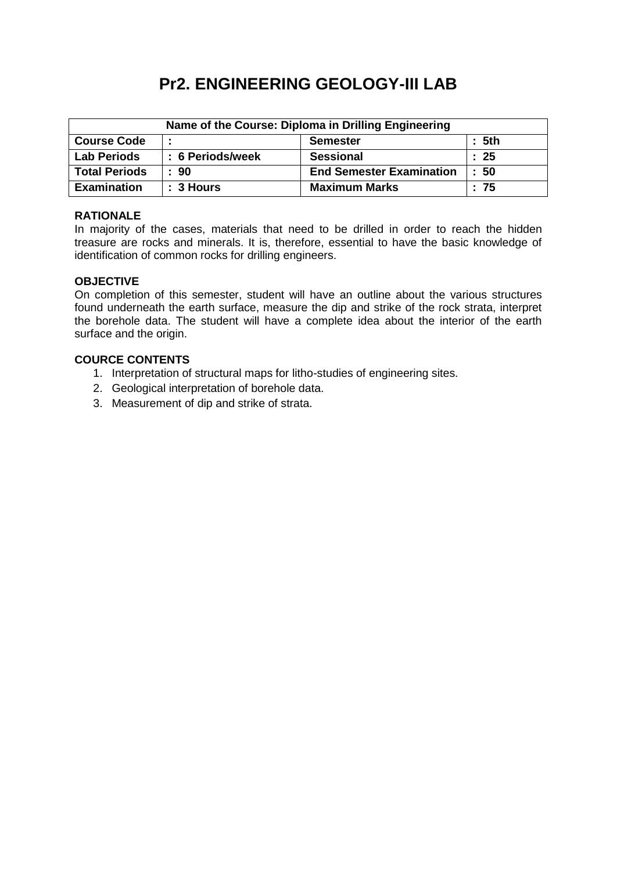# **Pr2. ENGINEERING GEOLOGY-III LAB**

| Name of the Course: Diploma in Drilling Engineering        |                  |                                 |                 |  |
|------------------------------------------------------------|------------------|---------------------------------|-----------------|--|
| <b>Course Code</b><br>: 5 <sup>th</sup><br><b>Semester</b> |                  |                                 |                 |  |
| <b>Lab Periods</b>                                         | : 6 Periods/week | <b>Sessional</b>                | $\therefore$ 25 |  |
| <b>Total Periods</b>                                       | $\pm 90$         | <b>End Semester Examination</b> | : 50            |  |
| <b>Examination</b>                                         | $: 3$ Hours      | <b>Maximum Marks</b>            | :75             |  |

#### **RATIONALE**

In majority of the cases, materials that need to be drilled in order to reach the hidden treasure are rocks and minerals. It is, therefore, essential to have the basic knowledge of identification of common rocks for drilling engineers.

#### **OBJECTIVE**

On completion of this semester, student will have an outline about the various structures found underneath the earth surface, measure the dip and strike of the rock strata, interpret the borehole data. The student will have a complete idea about the interior of the earth surface and the origin.

# **COURCE CONTENTS**

- 1. Interpretation of structural maps for litho-studies of engineering sites.
- 2. Geological interpretation of borehole data.
- 3. Measurement of dip and strike of strata.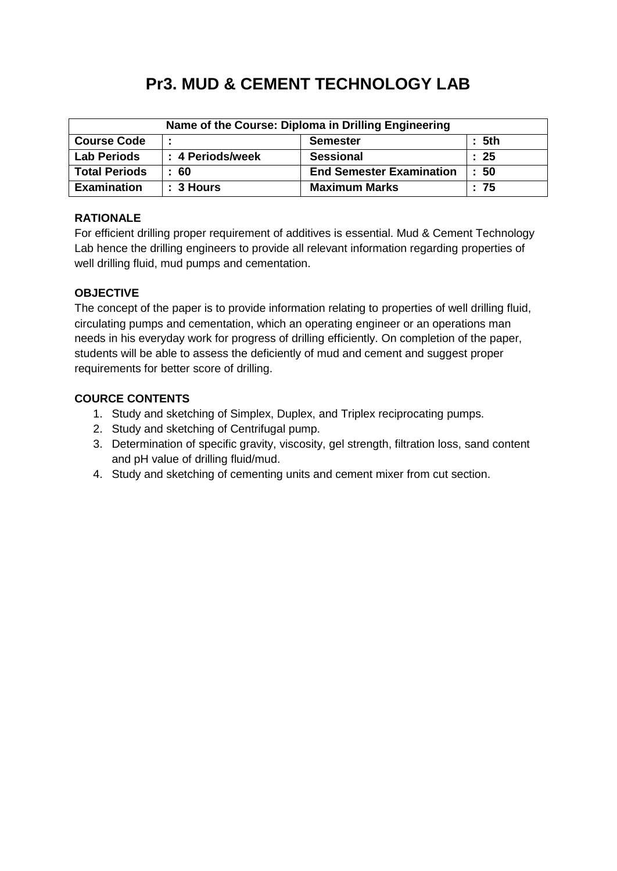# **Pr3. MUD & CEMENT TECHNOLOGY LAB**

| Name of the Course: Diploma in Drilling Engineering |                  |                                 |           |  |
|-----------------------------------------------------|------------------|---------------------------------|-----------|--|
| <b>Course Code</b><br>: 5th<br><b>Semester</b>      |                  |                                 |           |  |
| <b>Lab Periods</b>                                  | : 4 Periods/week | <b>Sessional</b>                | $\div$ 25 |  |
| <b>Total Periods</b>                                | : 60             | <b>End Semester Examination</b> | : 50      |  |
| <b>Examination</b>                                  | $: 3$ Hours      | <b>Maximum Marks</b>            | :75       |  |

# **RATIONALE**

For efficient drilling proper requirement of additives is essential. Mud & Cement Technology Lab hence the drilling engineers to provide all relevant information regarding properties of well drilling fluid, mud pumps and cementation.

# **OBJECTIVE**

The concept of the paper is to provide information relating to properties of well drilling fluid, circulating pumps and cementation, which an operating engineer or an operations man needs in his everyday work for progress of drilling efficiently. On completion of the paper, students will be able to assess the deficiently of mud and cement and suggest proper requirements for better score of drilling.

# **COURCE CONTENTS**

- 1. Study and sketching of Simplex, Duplex, and Triplex reciprocating pumps.
- 2. Study and sketching of Centrifugal pump.
- 3. Determination of specific gravity, viscosity, gel strength, filtration loss, sand content and pH value of drilling fluid/mud.
- 4. Study and sketching of cementing units and cement mixer from cut section.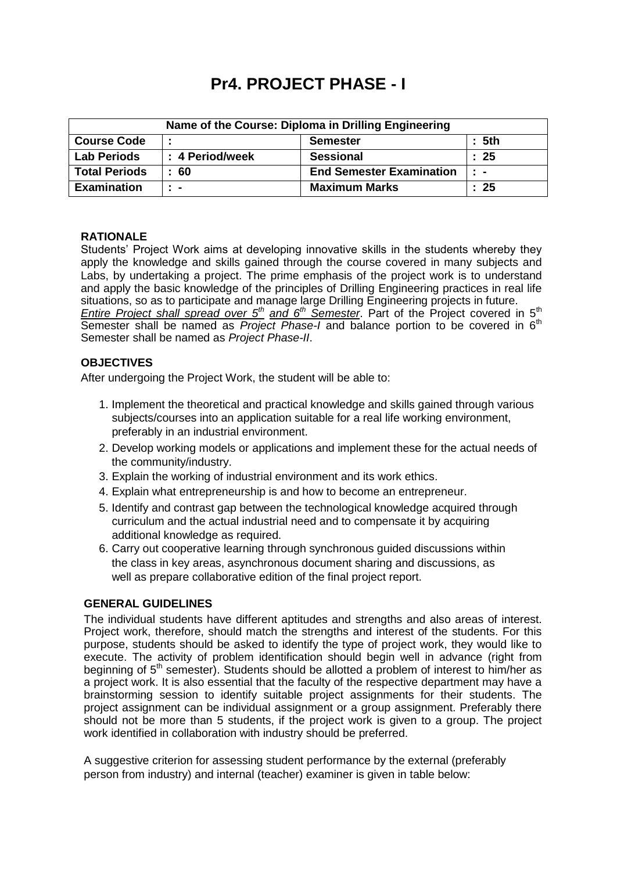# **Pr4. PROJECT PHASE - I**

| Name of the Course: Diploma in Drilling Engineering |                 |                                 |                |  |
|-----------------------------------------------------|-----------------|---------------------------------|----------------|--|
| : 5th<br><b>Course Code</b><br><b>Semester</b>      |                 |                                 |                |  |
| <b>Lab Periods</b>                                  | : 4 Period/week | <b>Sessional</b>                | : 25           |  |
| <b>Total Periods</b>                                | :60             | <b>End Semester Examination</b> | $\mathbb{R}^n$ |  |
| <b>Examination</b>                                  | $\blacksquare$  | <b>Maximum Marks</b>            | : 25           |  |

#### **RATIONALE**

Students' Project Work aims at developing innovative skills in the students whereby they apply the knowledge and skills gained through the course covered in many subjects and Labs, by undertaking a project. The prime emphasis of the project work is to understand and apply the basic knowledge of the principles of Drilling Engineering practices in real life situations, so as to participate and manage large Drilling Engineering projects in future. *Entire Project shall spread over 5th and 6th Semester*. Part of the Project covered in 5th Semester shall be named as *Project Phase-I* and balance portion to be covered in 6<sup>th</sup> Semester shall be named as *Project Phase-II*.

#### **OBJECTIVES**

After undergoing the Project Work, the student will be able to:

- 1. Implement the theoretical and practical knowledge and skills gained through various subjects/courses into an application suitable for a real life working environment, preferably in an industrial environment.
- 2. Develop working models or applications and implement these for the actual needs of the community/industry.
- 3. Explain the working of industrial environment and its work ethics.
- 4. Explain what entrepreneurship is and how to become an entrepreneur.
- 5. Identify and contrast gap between the technological knowledge acquired through curriculum and the actual industrial need and to compensate it by acquiring additional knowledge as required.
- 6. Carry out cooperative learning through synchronous guided discussions within the class in key areas, asynchronous document sharing and discussions, as well as prepare collaborative edition of the final project report.

#### **GENERAL GUIDELINES**

The individual students have different aptitudes and strengths and also areas of interest. Project work, therefore, should match the strengths and interest of the students. For this purpose, students should be asked to identify the type of project work, they would like to execute. The activity of problem identification should begin well in advance (right from beginning of  $5<sup>th</sup>$  semester). Students should be allotted a problem of interest to him/her as a project work. It is also essential that the faculty of the respective department may have a brainstorming session to identify suitable project assignments for their students. The project assignment can be individual assignment or a group assignment. Preferably there should not be more than 5 students, if the project work is given to a group. The project work identified in collaboration with industry should be preferred.

A suggestive criterion for assessing student performance by the external (preferably person from industry) and internal (teacher) examiner is given in table below: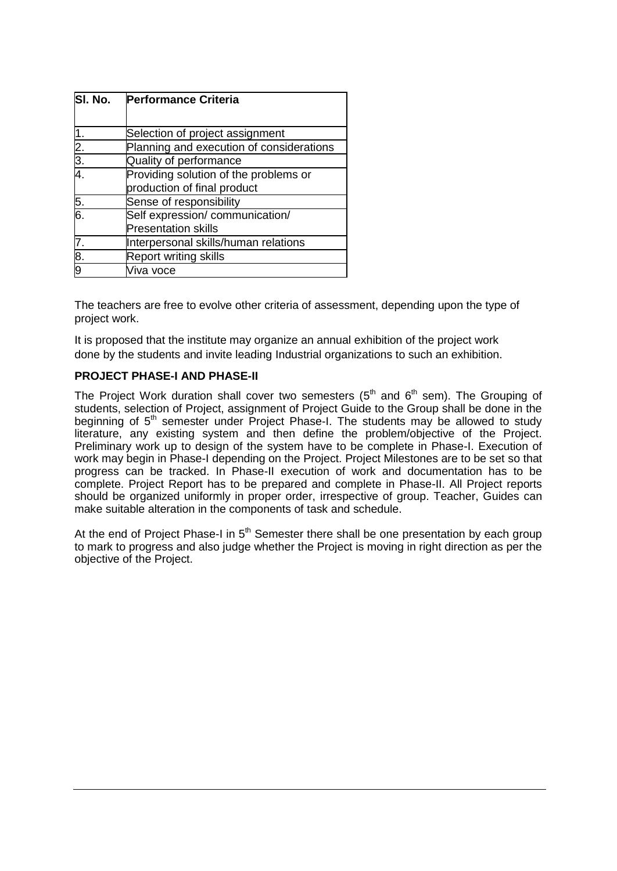| SI. No.       | <b>Performance Criteria</b>              |
|---------------|------------------------------------------|
|               |                                          |
|               | Selection of project assignment          |
|               | Planning and execution of considerations |
| $rac{2}{3}$ . | Quality of performance                   |
|               | Providing solution of the problems or    |
|               | production of final product              |
| 5.            | Sense of responsibility                  |
| 6.            | Self expression/communication/           |
|               | <b>Presentation skills</b>               |
|               | Interpersonal skills/human relations     |
| 8.            | <b>Report writing skills</b>             |
|               | ∕iva voce                                |

The teachers are free to evolve other criteria of assessment, depending upon the type of project work.

It is proposed that the institute may organize an annual exhibition of the project work done by the students and invite leading Industrial organizations to such an exhibition.

#### **PROJECT PHASE-I AND PHASE-II**

The Project Work duration shall cover two semesters ( $5<sup>th</sup>$  and  $6<sup>th</sup>$  sem). The Grouping of students, selection of Project, assignment of Project Guide to the Group shall be done in the beginning of  $5<sup>th</sup>$  semester under Project Phase-I. The students may be allowed to study literature, any existing system and then define the problem/objective of the Project. Preliminary work up to design of the system have to be complete in Phase-I. Execution of work may begin in Phase-I depending on the Project. Project Milestones are to be set so that progress can be tracked. In Phase-II execution of work and documentation has to be complete. Project Report has to be prepared and complete in Phase-II. All Project reports should be organized uniformly in proper order, irrespective of group. Teacher, Guides can make suitable alteration in the components of task and schedule.

At the end of Project Phase-I in  $5<sup>th</sup>$  Semester there shall be one presentation by each group to mark to progress and also judge whether the Project is moving in right direction as per the objective of the Project.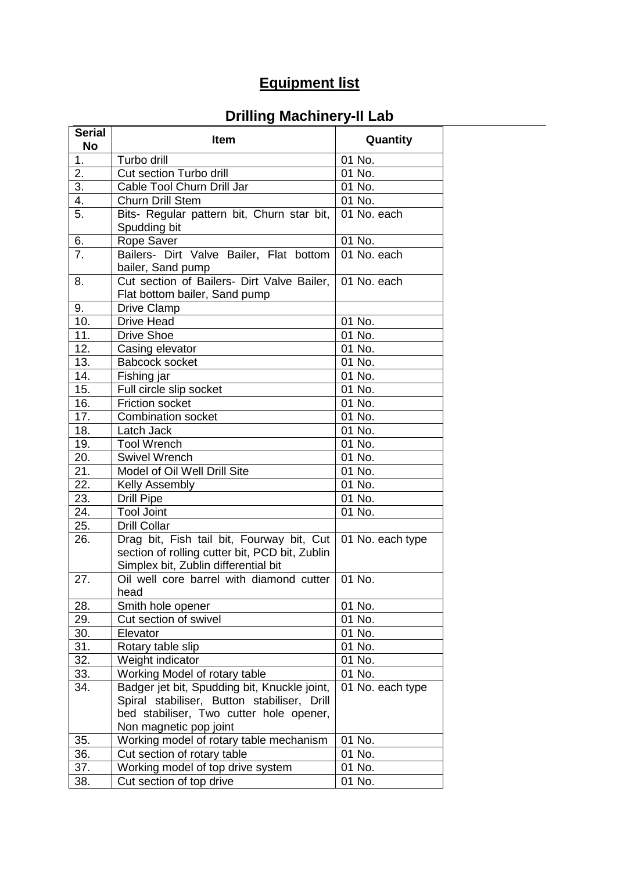# **Equipment list**

# **Drilling Machinery-II Lab**

| <b>Serial</b><br><b>No</b> | <b>Item</b>                                                                                                                                                      | Quantity         |
|----------------------------|------------------------------------------------------------------------------------------------------------------------------------------------------------------|------------------|
| 1.                         | Turbo drill                                                                                                                                                      | 01 No.           |
| $\overline{2}$ .           | Cut section Turbo drill                                                                                                                                          | 01 No.           |
| $\overline{3}$ .           | Cable Tool Churn Drill Jar                                                                                                                                       | 01 No.           |
| 4.                         | Churn Drill Stem                                                                                                                                                 | 01 No.           |
| 5.                         | Bits- Regular pattern bit, Churn star bit,<br>Spudding bit                                                                                                       | 01 No. each      |
| 6.                         | Rope Saver                                                                                                                                                       | 01 No.           |
| 7.                         | Bailers- Dirt Valve Bailer, Flat bottom<br>bailer, Sand pump                                                                                                     | 01 No. each      |
| 8.                         | Cut section of Bailers- Dirt Valve Bailer,<br>Flat bottom bailer, Sand pump                                                                                      | 01 No. each      |
| 9.                         | <b>Drive Clamp</b>                                                                                                                                               |                  |
| 10.                        | <b>Drive Head</b>                                                                                                                                                | 01 No.           |
| 11.                        | <b>Drive Shoe</b>                                                                                                                                                | 01 No.           |
| 12.                        | Casing elevator                                                                                                                                                  | 01 No.           |
| 13.                        | <b>Babcock socket</b>                                                                                                                                            | 01 No.           |
| 14.                        | Fishing jar                                                                                                                                                      | 01 No.           |
| 15.                        | Full circle slip socket                                                                                                                                          | 01 No.           |
| 16.                        | <b>Friction socket</b>                                                                                                                                           | 01 No.           |
| 17.                        | <b>Combination socket</b>                                                                                                                                        | 01 No.           |
| 18.                        | Latch Jack                                                                                                                                                       | 01 No.           |
| 19.                        | <b>Tool Wrench</b>                                                                                                                                               | 01 No.           |
| 20.                        | <b>Swivel Wrench</b>                                                                                                                                             | 01 No.           |
| 21.                        | Model of Oil Well Drill Site                                                                                                                                     | 01 No.           |
| 22.                        | <b>Kelly Assembly</b>                                                                                                                                            | 01 No.           |
| 23.                        | <b>Drill Pipe</b>                                                                                                                                                | 01 No.           |
| 24.                        | <b>Tool Joint</b>                                                                                                                                                | 01 No.           |
| 25.                        | <b>Drill Collar</b>                                                                                                                                              |                  |
| 26.                        | Drag bit, Fish tail bit, Fourway bit, Cut<br>section of rolling cutter bit, PCD bit, Zublin<br>Simplex bit, Zublin differential bit                              | 01 No. each type |
| 27.                        | Oil well core barrel with diamond cutter<br>head                                                                                                                 | 01 No.           |
| 28.                        | Smith hole opener                                                                                                                                                | 01 No.           |
| 29.                        | Cut section of swivel                                                                                                                                            | 01 No.           |
| 30.                        | Elevator                                                                                                                                                         | 01 No.           |
| 31.                        | Rotary table slip                                                                                                                                                | 01 No.           |
| $\overline{32}$ .          | Weight indicator                                                                                                                                                 | 01 No.           |
| 33.                        | Working Model of rotary table                                                                                                                                    | 01 No.           |
| 34.                        | Badger jet bit, Spudding bit, Knuckle joint,<br>Spiral stabiliser, Button stabiliser, Drill<br>bed stabiliser, Two cutter hole opener,<br>Non magnetic pop joint | 01 No. each type |
| 35.                        | Working model of rotary table mechanism                                                                                                                          | 01 No.           |
| 36.                        | Cut section of rotary table                                                                                                                                      | 01 No.           |
| 37.                        | Working model of top drive system                                                                                                                                | 01 No.           |
| 38.                        | Cut section of top drive                                                                                                                                         | 01 No.           |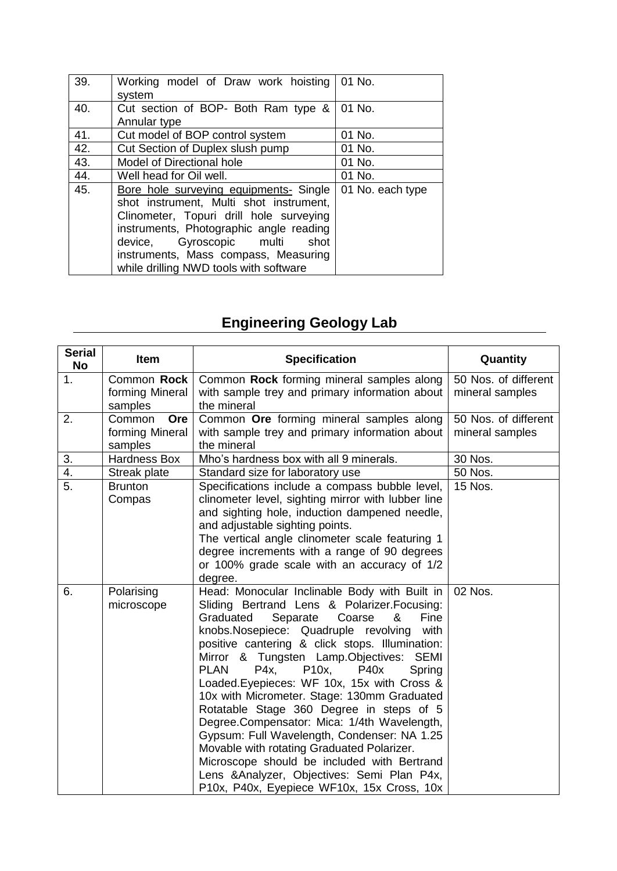| 39. | Working model of Draw work hoisting<br>system                                                                                                                                                                                                                                                    | 01 No.           |
|-----|--------------------------------------------------------------------------------------------------------------------------------------------------------------------------------------------------------------------------------------------------------------------------------------------------|------------------|
| 40. | Cut section of BOP- Both Ram type &<br>Annular type                                                                                                                                                                                                                                              | 01 No.           |
| 41. | Cut model of BOP control system                                                                                                                                                                                                                                                                  | 01 No.           |
| 42. | Cut Section of Duplex slush pump                                                                                                                                                                                                                                                                 | 01 No.           |
| 43. | Model of Directional hole                                                                                                                                                                                                                                                                        | 01 No.           |
| 44. | Well head for Oil well.                                                                                                                                                                                                                                                                          | 01 No.           |
| 45. | Bore hole surveying equipments- Single<br>shot instrument, Multi shot instrument,<br>Clinometer, Topuri drill hole surveying<br>instruments, Photographic angle reading<br>Gyroscopic multi<br>shot<br>device,<br>instruments, Mass compass, Measuring<br>while drilling NWD tools with software | 01 No. each type |

# **Engineering Geology Lab**

| <b>Serial</b><br><b>No</b> | <b>Item</b>                                 | <b>Specification</b>                                                                                                                                                                                                                                                                                                                                                                                                                                                                                                                                                                                                                                                                                                                                                                            | Quantity                                |
|----------------------------|---------------------------------------------|-------------------------------------------------------------------------------------------------------------------------------------------------------------------------------------------------------------------------------------------------------------------------------------------------------------------------------------------------------------------------------------------------------------------------------------------------------------------------------------------------------------------------------------------------------------------------------------------------------------------------------------------------------------------------------------------------------------------------------------------------------------------------------------------------|-----------------------------------------|
| 1.                         | Common Rock<br>forming Mineral<br>samples   | Common Rock forming mineral samples along<br>with sample trey and primary information about<br>the mineral                                                                                                                                                                                                                                                                                                                                                                                                                                                                                                                                                                                                                                                                                      | 50 Nos. of different<br>mineral samples |
| 2.                         | Common<br>Ore<br>forming Mineral<br>samples | Common Ore forming mineral samples along<br>with sample trey and primary information about<br>the mineral                                                                                                                                                                                                                                                                                                                                                                                                                                                                                                                                                                                                                                                                                       | 50 Nos. of different<br>mineral samples |
| 3.                         | <b>Hardness Box</b>                         | Mho's hardness box with all 9 minerals.                                                                                                                                                                                                                                                                                                                                                                                                                                                                                                                                                                                                                                                                                                                                                         | 30 Nos.                                 |
| 4.                         | Streak plate                                | Standard size for laboratory use                                                                                                                                                                                                                                                                                                                                                                                                                                                                                                                                                                                                                                                                                                                                                                | 50 Nos.                                 |
| 5.                         | <b>Brunton</b><br>Compas                    | Specifications include a compass bubble level,<br>clinometer level, sighting mirror with lubber line<br>and sighting hole, induction dampened needle,<br>and adjustable sighting points.<br>The vertical angle clinometer scale featuring 1<br>degree increments with a range of 90 degrees<br>or 100% grade scale with an accuracy of 1/2<br>degree.                                                                                                                                                                                                                                                                                                                                                                                                                                           | 15 Nos.                                 |
| 6.                         | Polarising<br>microscope                    | Head: Monocular Inclinable Body with Built in<br>Sliding Bertrand Lens & Polarizer. Focusing:<br>Graduated<br>Separate<br>Coarse<br>Fine<br>&<br>knobs.Nosepiece: Quadruple revolving<br>with<br>positive cantering & click stops. Illumination:<br>Mirror & Tungsten Lamp.Objectives:<br><b>SEMI</b><br><b>PLAN</b><br>P4x<br>P10x,<br><b>P40x</b><br>Spring<br>Loaded. Eyepieces: WF 10x, 15x with Cross &<br>10x with Micrometer. Stage: 130mm Graduated<br>Rotatable Stage 360 Degree in steps of 5<br>Degree.Compensator: Mica: 1/4th Wavelength,<br>Gypsum: Full Wavelength, Condenser: NA 1.25<br>Movable with rotating Graduated Polarizer.<br>Microscope should be included with Bertrand<br>Lens & Analyzer, Objectives: Semi Plan P4x,<br>P10x, P40x, Eyepiece WF10x, 15x Cross, 10x | 02 Nos.                                 |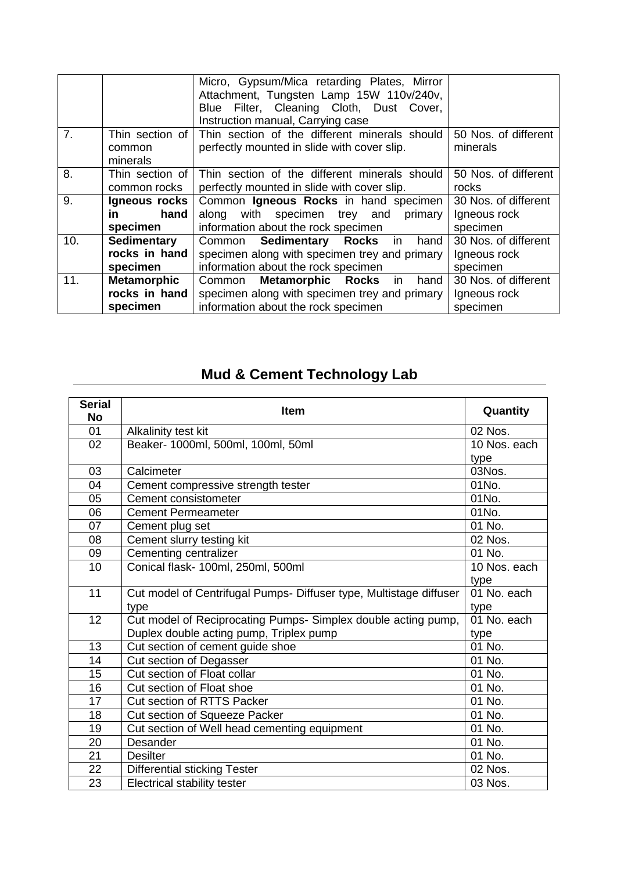|                |                    | Micro, Gypsum/Mica retarding Plates, Mirror<br>Attachment, Tungsten Lamp 15W 110v/240v,<br>Blue Filter, Cleaning Cloth, Dust Cover,<br>Instruction manual, Carrying case |                      |
|----------------|--------------------|--------------------------------------------------------------------------------------------------------------------------------------------------------------------------|----------------------|
| 7 <sub>1</sub> | Thin section of    | Thin section of the different minerals should                                                                                                                            | 50 Nos. of different |
|                | common<br>minerals | perfectly mounted in slide with cover slip.                                                                                                                              | minerals             |
| 8.             | Thin section of    | Thin section of the different minerals should                                                                                                                            | 50 Nos. of different |
|                | common rocks       | perfectly mounted in slide with cover slip.                                                                                                                              | rocks                |
| 9.             | Igneous rocks      | Common Igneous Rocks in hand specimen                                                                                                                                    | 30 Nos. of different |
|                | in<br>hand         | along with specimen trey and<br>primary                                                                                                                                  | Igneous rock         |
|                | specimen           | information about the rock specimen                                                                                                                                      | specimen             |
| 10.            | Sedimentary        | <b>Sedimentary Rocks</b><br>Common<br>hand<br>in                                                                                                                         | 30 Nos. of different |
|                | rocks in hand      | specimen along with specimen trey and primary                                                                                                                            | Igneous rock         |
|                | specimen           | information about the rock specimen                                                                                                                                      | specimen             |
| 11.            | <b>Metamorphic</b> | <b>Metamorphic Rocks</b> in<br>hand<br>Common                                                                                                                            | 30 Nos. of different |
|                | rocks in hand      | specimen along with specimen trey and primary                                                                                                                            | Igneous rock         |
|                | specimen           | information about the rock specimen                                                                                                                                      | specimen             |

# **Mud & Cement Technology Lab**

| <b>Serial</b><br><b>No</b> | Item                                                               | Quantity     |
|----------------------------|--------------------------------------------------------------------|--------------|
| 01                         | Alkalinity test kit                                                | 02 Nos.      |
| 02                         | Beaker- 1000ml, 500ml, 100ml, 50ml                                 | 10 Nos. each |
|                            |                                                                    | type         |
| 03                         | Calcimeter                                                         | 03Nos.       |
| 04                         | Cement compressive strength tester                                 | 01No.        |
| 05                         | Cement consistometer                                               | 01No.        |
| 06                         | <b>Cement Permeameter</b>                                          | 01No.        |
| 07                         | Cement plug set                                                    | 01 No.       |
| 08                         | Cement slurry testing kit                                          | 02 Nos.      |
| 09                         | Cementing centralizer                                              | 01 No.       |
| 10                         | Conical flask- 100ml, 250ml, 500ml                                 | 10 Nos. each |
|                            |                                                                    | type         |
| 11                         | Cut model of Centrifugal Pumps- Diffuser type, Multistage diffuser | 01 No. each  |
|                            | type                                                               | type         |
| 12                         | Cut model of Reciprocating Pumps- Simplex double acting pump,      | 01 No. each  |
|                            | Duplex double acting pump, Triplex pump                            | type         |
| 13                         | Cut section of cement guide shoe                                   | 01 No.       |
| 14                         | Cut section of Degasser                                            | 01 No.       |
| 15                         | Cut section of Float collar                                        | 01 No.       |
| 16                         | Cut section of Float shoe                                          | 01 No.       |
| 17                         | Cut section of RTTS Packer                                         | 01 No.       |
| 18                         | Cut section of Squeeze Packer                                      | 01 No.       |
| 19                         | Cut section of Well head cementing equipment                       | 01 No.       |
| 20                         | Desander                                                           | 01 No.       |
| 21                         | <b>Desilter</b>                                                    | 01 No.       |
| 22                         | <b>Differential sticking Tester</b>                                | 02 Nos.      |
| 23                         | Electrical stability tester                                        | 03 Nos.      |